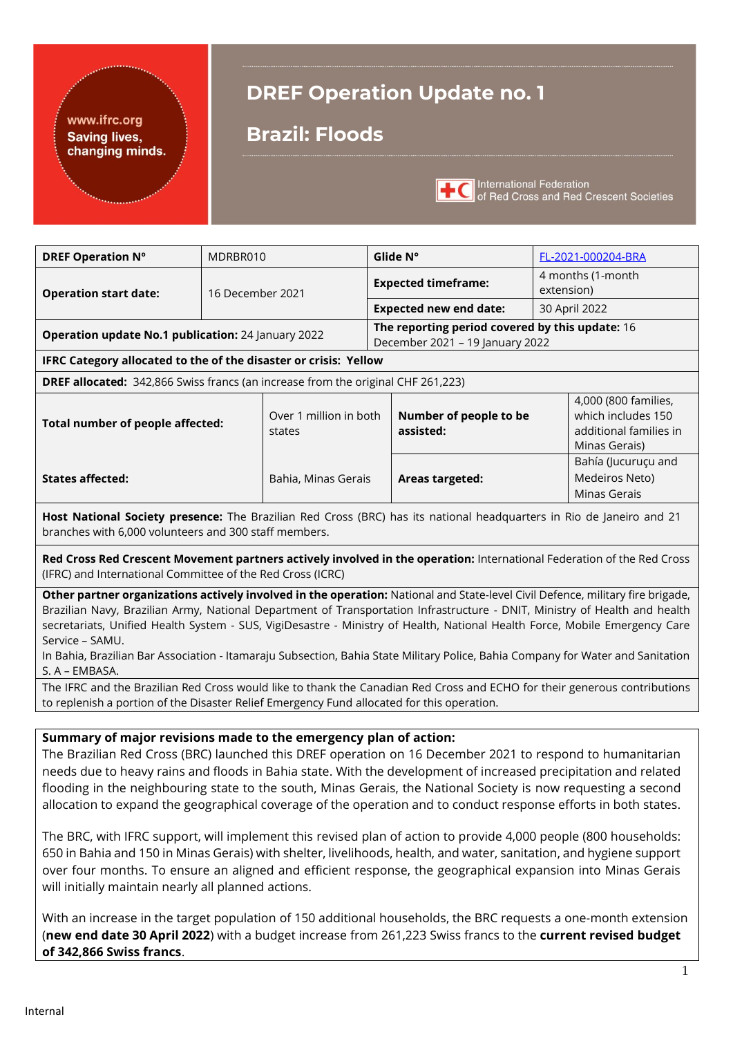## www.ifrc.org Saving lives,<br>changing minds.

# **DREF Operation Update no. 1**

## **Brazil: Floods**



International Federation<br>
of Red Cross and Red Crescent Societies

| <b>DREF Operation Nº</b>                                                                                                                                                                                                                                                                                                                                                                                                                                                                                                                                                                                                                                                                                                                                                                                                                                                                                                                              | MDRBR010                                                                 |                                  | Glide N° |                                                                                    | FL-2021-000204-BRA              |                                                                                       |
|-------------------------------------------------------------------------------------------------------------------------------------------------------------------------------------------------------------------------------------------------------------------------------------------------------------------------------------------------------------------------------------------------------------------------------------------------------------------------------------------------------------------------------------------------------------------------------------------------------------------------------------------------------------------------------------------------------------------------------------------------------------------------------------------------------------------------------------------------------------------------------------------------------------------------------------------------------|--------------------------------------------------------------------------|----------------------------------|----------|------------------------------------------------------------------------------------|---------------------------------|---------------------------------------------------------------------------------------|
| <b>Operation start date:</b>                                                                                                                                                                                                                                                                                                                                                                                                                                                                                                                                                                                                                                                                                                                                                                                                                                                                                                                          | <b>Expected timeframe:</b><br>16 December 2021                           |                                  |          |                                                                                    | 4 months (1-month<br>extension) |                                                                                       |
|                                                                                                                                                                                                                                                                                                                                                                                                                                                                                                                                                                                                                                                                                                                                                                                                                                                                                                                                                       |                                                                          |                                  |          | <b>Expected new end date:</b>                                                      | 30 April 2022                   |                                                                                       |
| Operation update No.1 publication: 24 January 2022                                                                                                                                                                                                                                                                                                                                                                                                                                                                                                                                                                                                                                                                                                                                                                                                                                                                                                    |                                                                          |                                  |          | The reporting period covered by this update: 16<br>December 2021 - 19 January 2022 |                                 |                                                                                       |
| IFRC Category allocated to the of the disaster or crisis: Yellow                                                                                                                                                                                                                                                                                                                                                                                                                                                                                                                                                                                                                                                                                                                                                                                                                                                                                      |                                                                          |                                  |          |                                                                                    |                                 |                                                                                       |
| DREF allocated: 342,866 Swiss francs (an increase from the original CHF 261,223)                                                                                                                                                                                                                                                                                                                                                                                                                                                                                                                                                                                                                                                                                                                                                                                                                                                                      |                                                                          |                                  |          |                                                                                    |                                 |                                                                                       |
| Total number of people affected:                                                                                                                                                                                                                                                                                                                                                                                                                                                                                                                                                                                                                                                                                                                                                                                                                                                                                                                      |                                                                          | Over 1 million in both<br>states |          | Number of people to be<br>assisted:                                                |                                 | 4,000 (800 families,<br>which includes 150<br>additional families in<br>Minas Gerais) |
| <b>States affected:</b>                                                                                                                                                                                                                                                                                                                                                                                                                                                                                                                                                                                                                                                                                                                                                                                                                                                                                                                               | Medeiros Neto)<br>Bahia, Minas Gerais<br>Areas targeted:<br>Minas Gerais |                                  |          | Bahía (Jucuruçu and                                                                |                                 |                                                                                       |
| Host National Society presence: The Brazilian Red Cross (BRC) has its national headquarters in Rio de Janeiro and 21<br>branches with 6,000 volunteers and 300 staff members.                                                                                                                                                                                                                                                                                                                                                                                                                                                                                                                                                                                                                                                                                                                                                                         |                                                                          |                                  |          |                                                                                    |                                 |                                                                                       |
| Red Cross Red Crescent Movement partners actively involved in the operation: International Federation of the Red Cross<br>(IFRC) and International Committee of the Red Cross (ICRC)                                                                                                                                                                                                                                                                                                                                                                                                                                                                                                                                                                                                                                                                                                                                                                  |                                                                          |                                  |          |                                                                                    |                                 |                                                                                       |
| Other partner organizations actively involved in the operation: National and State-level Civil Defence, military fire brigade,<br>Brazilian Navy, Brazilian Army, National Department of Transportation Infrastructure - DNIT, Ministry of Health and health<br>secretariats, Unified Health System - SUS, VigiDesastre - Ministry of Health, National Health Force, Mobile Emergency Care<br>Service - SAMU.<br>In Bahia, Brazilian Bar Association - Itamaraju Subsection, Bahia State Military Police, Bahia Company for Water and Sanitation<br>S. A - EMBASA.                                                                                                                                                                                                                                                                                                                                                                                    |                                                                          |                                  |          |                                                                                    |                                 |                                                                                       |
| The IFRC and the Brazilian Red Cross would like to thank the Canadian Red Cross and ECHO for their generous contributions<br>to replenish a portion of the Disaster Relief Emergency Fund allocated for this operation.                                                                                                                                                                                                                                                                                                                                                                                                                                                                                                                                                                                                                                                                                                                               |                                                                          |                                  |          |                                                                                    |                                 |                                                                                       |
|                                                                                                                                                                                                                                                                                                                                                                                                                                                                                                                                                                                                                                                                                                                                                                                                                                                                                                                                                       |                                                                          |                                  |          |                                                                                    |                                 |                                                                                       |
| Summary of major revisions made to the emergency plan of action:<br>The Brazilian Red Cross (BRC) launched this DREF operation on 16 December 2021 to respond to humanitarian<br>needs due to heavy rains and floods in Bahia state. With the development of increased precipitation and related<br>flooding in the neighbouring state to the south, Minas Gerais, the National Society is now requesting a second<br>allocation to expand the geographical coverage of the operation and to conduct response efforts in both states.<br>The BRC, with IFRC support, will implement this revised plan of action to provide 4,000 people (800 households:<br>650 in Bahia and 150 in Minas Gerais) with shelter, livelihoods, health, and water, sanitation, and hygiene support<br>over four months. To ensure an aligned and efficient response, the geographical expansion into Minas Gerais<br>will initially maintain nearly all planned actions. |                                                                          |                                  |          |                                                                                    |                                 |                                                                                       |
| With an increase in the target population of 150 additional households, the BRC requests a one-month extension<br>(new end date 30 April 2022) with a budget increase from 261,223 Swiss francs to the current revised budget                                                                                                                                                                                                                                                                                                                                                                                                                                                                                                                                                                                                                                                                                                                         |                                                                          |                                  |          |                                                                                    |                                 |                                                                                       |

**of 342,866 Swiss francs**.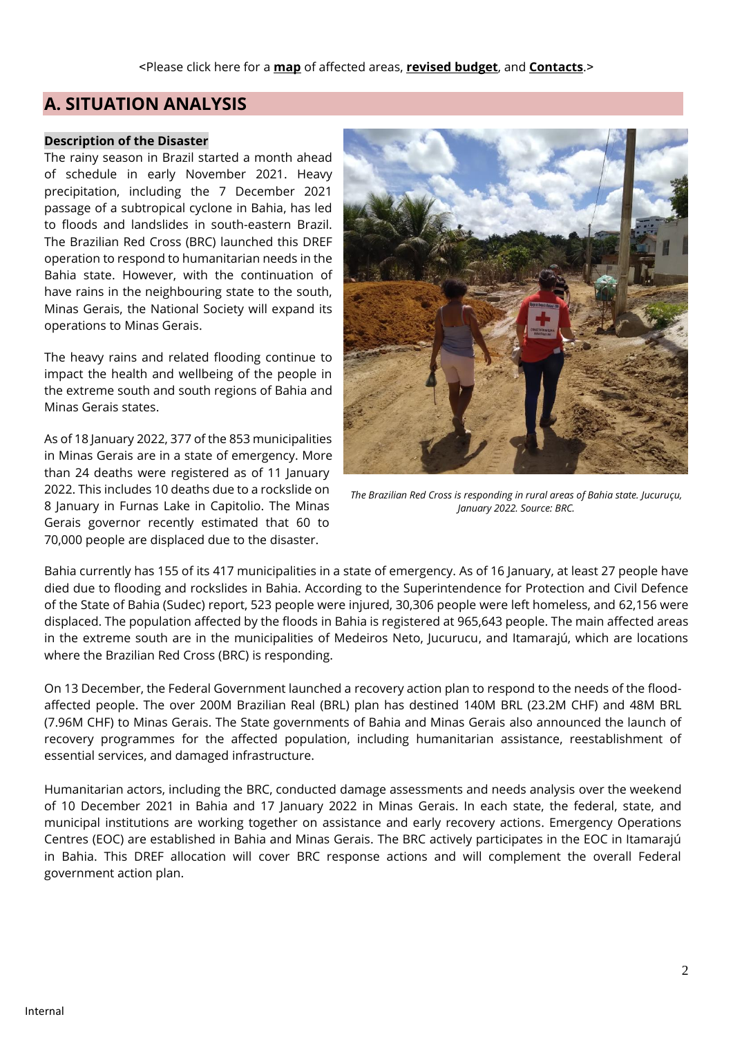## **A. SITUATION ANALYSIS**

#### **Description of the Disaster**

The rainy season in Brazil started a month ahead of schedule in early November 2021. Heavy precipitation, including the 7 December 2021 passage of a subtropical cyclone in Bahia, has led to floods and landslides in south-eastern Brazil. The Brazilian Red Cross (BRC) launched this DREF operation to respond to humanitarian needs in the Bahia state. However, with the continuation of have rains in the neighbouring state to the south, Minas Gerais, the National Society will expand its operations to Minas Gerais.

The heavy rains and related flooding continue to impact the health and wellbeing of the people in the extreme south and south regions of Bahia and Minas Gerais states.

As of 18 January 2022, 377 of the 853 municipalities in Minas Gerais are in a state of emergency. More than 24 deaths were registered as of 11 January 2022. This includes 10 deaths due to a rockslide on 8 January in Furnas Lake in Capitolio. The Minas Gerais governor recently estimated that 60 to 70,000 people are displaced due to the disaster.



*The Brazilian Red Cross is responding in rural areas of Bahia state. Jucuruçu, January 2022. Source: BRC.*

Bahia currently has 155 of its 417 municipalities in a state of emergency. As of 16 January, at least 27 people have died due to flooding and rockslides in Bahia. According to the Superintendence for Protection and Civil Defence of the State of Bahia (Sudec) report, 523 people were injured, 30,306 people were left homeless, and 62,156 were displaced. The population affected by the floods in Bahia is registered at 965,643 people. The main affected areas in the extreme south are in the municipalities of Medeiros Neto, Jucurucu, and Itamarajú, which are locations where the Brazilian Red Cross (BRC) is responding.

On 13 December, the Federal Government launched a recovery action plan to respond to the needs of the floodaffected people. The over 200M Brazilian Real (BRL) plan has destined 140M BRL (23.2M CHF) and 48M BRL (7.96M CHF) to Minas Gerais. The State governments of Bahia and Minas Gerais also announced the launch of recovery programmes for the affected population, including humanitarian assistance, reestablishment of essential services, and damaged infrastructure.

Humanitarian actors, including the BRC, conducted damage assessments and needs analysis over the weekend of 10 December 2021 in Bahia and 17 January 2022 in Minas Gerais. In each state, the federal, state, and municipal institutions are working together on assistance and early recovery actions. Emergency Operations Centres (EOC) are established in Bahia and Minas Gerais. The BRC actively participates in the EOC in Itamarajú in Bahia. This DREF allocation will cover BRC response actions and will complement the overall Federal government action plan.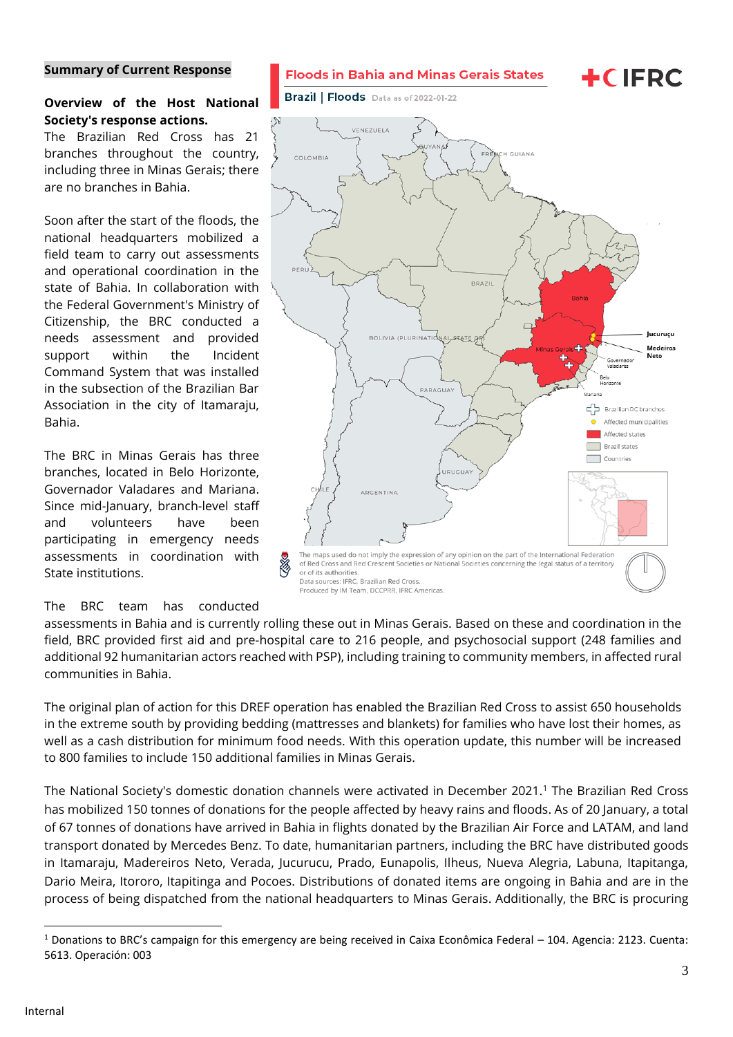#### <span id="page-2-0"></span>**Summary of Current Response**

#### **Overview of the Host National Society's response actions.**

The Brazilian Red Cross has 21 branches throughout the country, including three in Minas Gerais; there are no branches in Bahia.

Soon after the start of the floods, the national headquarters mobilized a field team to carry out assessments and operational coordination in the state of Bahia. In collaboration with the Federal Government's Ministry of Citizenship, the BRC conducted a needs assessment and provided support within the Incident Command System that was installed in the subsection of the Brazilian Bar Association in the city of Itamaraju, Bahia.

The BRC in Minas Gerais has three branches, located in Belo Horizonte, Governador Valadares and Mariana. Since mid-January, branch-level staff and volunteers have been participating in emergency needs assessments in coordination with State institutions.

#### The BRC team has conducted

assessments in Bahia and is currently rolling these out in Minas Gerais. Based on these and coordination in the field, BRC provided first aid and pre-hospital care to 216 people, and psychosocial support (248 families and additional 92 humanitarian actors reached with PSP), including training to community members, in affected rural communities in Bahia.

The original plan of action for this DREF operation has enabled the Brazilian Red Cross to assist 650 households in the extreme south by providing bedding (mattresses and blankets) for families who have lost their homes, as well as a cash distribution for minimum food needs. With this operation update, this number will be increased to 800 families to include 150 additional families in Minas Gerais.

The National Society's domestic donation channels were activated in December 2021.<sup>1</sup> The Brazilian Red Cross has mobilized 150 tonnes of donations for the people affected by heavy rains and floods. As of 20 January, a total of 67 tonnes of donations have arrived in Bahia in flights donated by the Brazilian Air Force and LATAM, and land transport donated by Mercedes Benz. To date, humanitarian partners, including the BRC have distributed goods in Itamaraju, Madereiros Neto, Verada, Jucurucu, Prado, Eunapolis, Ilheus, Nueva Alegria, Labuna, Itapitanga, Dario Meira, Itororo, Itapitinga and Pocoes. Distributions of donated items are ongoing in Bahia and are in the process of being dispatched from the national headquarters to Minas Gerais. Additionally, the BRC is procuring



**Floods in Bahia and Minas Gerais States** 

Brazil | Floods Data as of 2022-01-22

**+CIFRC** 

 $1$  Donations to BRC's campaign for this emergency are being received in Caixa Econômica Federal – 104. Agencia: 2123. Cuenta: 5613. Operación: 003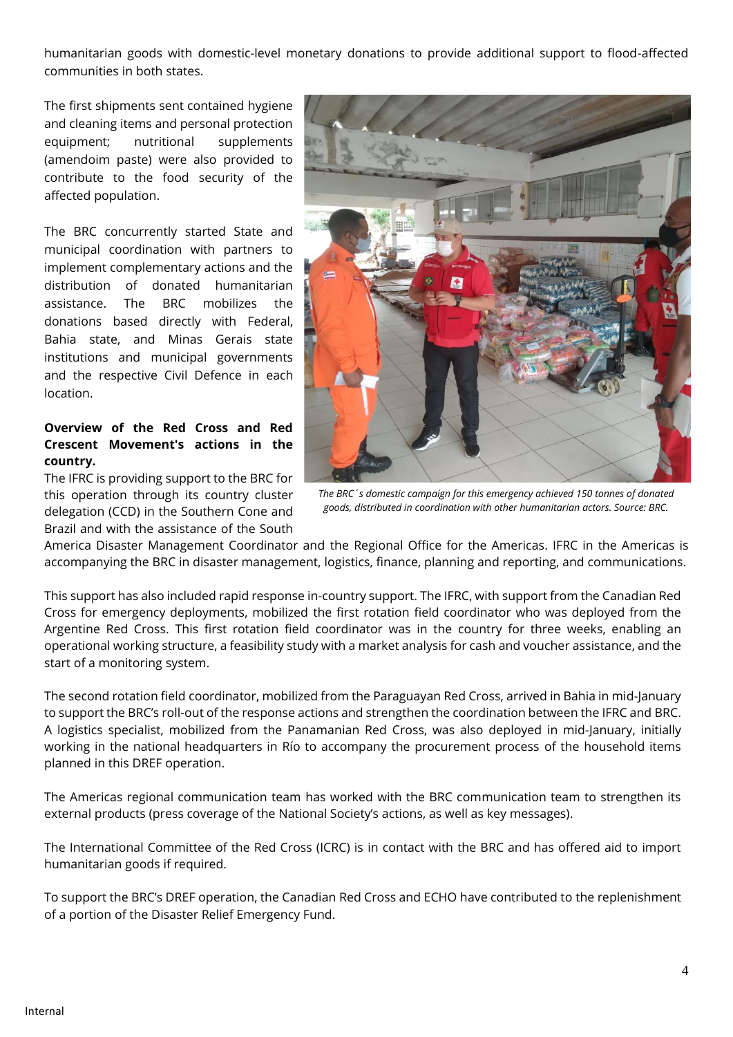humanitarian goods with domestic-level monetary donations to provide additional support to flood-affected communities in both states.

The first shipments sent contained hygiene and cleaning items and personal protection equipment; nutritional supplements (amendoim paste) were also provided to contribute to the food security of the affected population.

The BRC concurrently started State and municipal coordination with partners to implement complementary actions and the distribution of donated humanitarian assistance. The BRC mobilizes the donations based directly with Federal, Bahia state, and Minas Gerais state institutions and municipal governments and the respective Civil Defence in each location.

### **Overview of the Red Cross and Red Crescent Movement's actions in the country.**

The IFRC is providing support to the BRC for this operation through its country cluster delegation (CCD) in the Southern Cone and Brazil and with the assistance of the South



*The BRC´s domestic campaign for this emergency achieved 150 tonnes of donated goods, distributed in coordination with other humanitarian actors. Source: BRC.*

America Disaster Management Coordinator and the Regional Office for the Americas. IFRC in the Americas is accompanying the BRC in disaster management, logistics, finance, planning and reporting, and communications.

This support has also included rapid response in-country support. The IFRC, with support from the Canadian Red Cross for emergency deployments, mobilized the first rotation field coordinator who was deployed from the Argentine Red Cross. This first rotation field coordinator was in the country for three weeks, enabling an operational working structure, a feasibility study with a market analysis for cash and voucher assistance, and the start of a monitoring system.

The second rotation field coordinator, mobilized from the Paraguayan Red Cross, arrived in Bahia in mid-January to support the BRC's roll-out of the response actions and strengthen the coordination between the IFRC and BRC. A logistics specialist, mobilized from the Panamanian Red Cross, was also deployed in mid-January, initially working in the national headquarters in Río to accompany the procurement process of the household items planned in this DREF operation.

The Americas regional communication team has worked with the BRC communication team to strengthen its external products (press coverage of the National Society's actions, as well as key messages).

The International Committee of the Red Cross (ICRC) is in contact with the BRC and has offered aid to import humanitarian goods if required.

To support the BRC's DREF operation, the Canadian Red Cross and ECHO have contributed to the replenishment of a portion of the Disaster Relief Emergency Fund.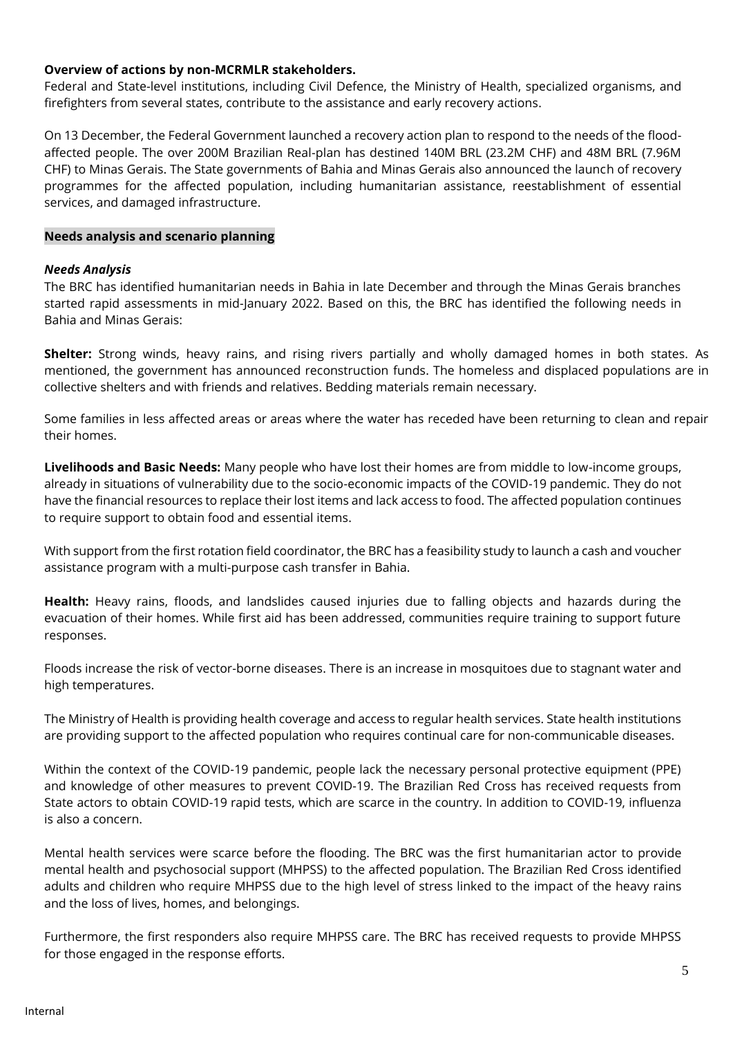#### **Overview of actions by non-MCRMLR stakeholders.**

Federal and State-level institutions, including Civil Defence, the Ministry of Health, specialized organisms, and firefighters from several states, contribute to the assistance and early recovery actions.

On 13 December, the Federal Government launched a recovery action plan to respond to the needs of the floodaffected people. The over 200M Brazilian Real-plan has destined 140M BRL (23.2M CHF) and 48M BRL (7.96M CHF) to Minas Gerais. The State governments of Bahia and Minas Gerais also announced the launch of recovery programmes for the affected population, including humanitarian assistance, reestablishment of essential services, and damaged infrastructure.

#### **Needs analysis and scenario planning**

#### *Needs Analysis*

The BRC has identified humanitarian needs in Bahia in late December and through the Minas Gerais branches started rapid assessments in mid-January 2022. Based on this, the BRC has identified the following needs in Bahia and Minas Gerais:

**Shelter:** Strong winds, heavy rains, and rising rivers partially and wholly damaged homes in both states. As mentioned, the government has announced reconstruction funds. The homeless and displaced populations are in collective shelters and with friends and relatives. Bedding materials remain necessary.

Some families in less affected areas or areas where the water has receded have been returning to clean and repair their homes.

**Livelihoods and Basic Needs:** Many people who have lost their homes are from middle to low-income groups, already in situations of vulnerability due to the socio-economic impacts of the COVID-19 pandemic. They do not have the financial resources to replace their lost items and lack access to food. The affected population continues to require support to obtain food and essential items.

With support from the first rotation field coordinator, the BRC has a feasibility study to launch a cash and voucher assistance program with a multi-purpose cash transfer in Bahia.

**Health:** Heavy rains, floods, and landslides caused injuries due to falling objects and hazards during the evacuation of their homes. While first aid has been addressed, communities require training to support future responses.

Floods increase the risk of vector-borne diseases. There is an increase in mosquitoes due to stagnant water and high temperatures.

The Ministry of Health is providing health coverage and access to regular health services. State health institutions are providing support to the affected population who requires continual care for non-communicable diseases.

Within the context of the COVID-19 pandemic, people lack the necessary personal protective equipment (PPE) and knowledge of other measures to prevent COVID-19. The Brazilian Red Cross has received requests from State actors to obtain COVID-19 rapid tests, which are scarce in the country. In addition to COVID-19, influenza is also a concern.

Mental health services were scarce before the flooding. The BRC was the first humanitarian actor to provide mental health and psychosocial support (MHPSS) to the affected population. The Brazilian Red Cross identified adults and children who require MHPSS due to the high level of stress linked to the impact of the heavy rains and the loss of lives, homes, and belongings.

Furthermore, the first responders also require MHPSS care. The BRC has received requests to provide MHPSS for those engaged in the response efforts.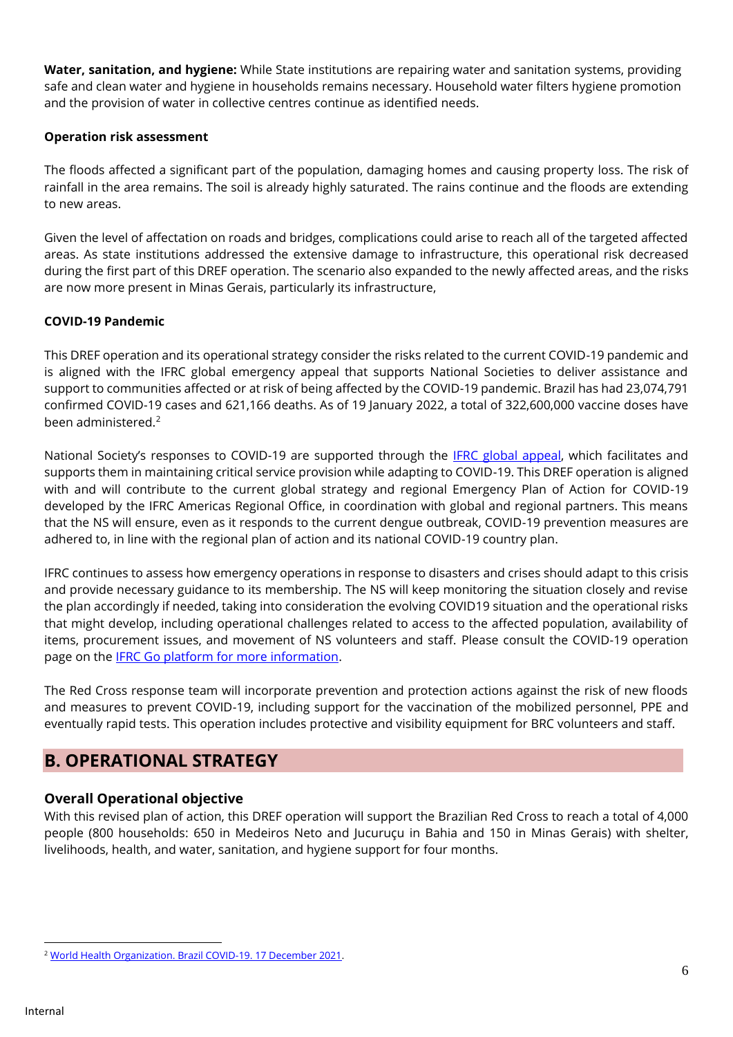**Water, sanitation, and hygiene:** While State institutions are repairing water and sanitation systems, providing safe and clean water and hygiene in households remains necessary. Household water filters hygiene promotion and the provision of water in collective centres continue as identified needs.

#### **Operation risk assessment**

The floods affected a significant part of the population, damaging homes and causing property loss. The risk of rainfall in the area remains. The soil is already highly saturated. The rains continue and the floods are extending to new areas.

Given the level of affectation on roads and bridges, complications could arise to reach all of the targeted affected areas. As state institutions addressed the extensive damage to infrastructure, this operational risk decreased during the first part of this DREF operation. The scenario also expanded to the newly affected areas, and the risks are now more present in Minas Gerais, particularly its infrastructure,

#### **COVID-19 Pandemic**

This DREF operation and its operational strategy consider the risks related to the current COVID-19 pandemic and is aligned with the IFRC global emergency appeal that supports National Societies to deliver assistance and support to communities affected or at risk of being affected by the COVID-19 pandemic. Brazil has had 23,074,791 confirmed COVID-19 cases and 621,166 deaths. As of 19 January 2022, a total of 322,600,000 vaccine doses have been administered.<sup>2</sup>

National Society's responses to COVID-19 are supported through the [IFRC global appeal,](http://adore.ifrc.org/Download.aspx?FileId=308535) which facilitates and supports them in maintaining critical service provision while adapting to COVID-19. This DREF operation is aligned with and will contribute to the current global strategy and regional Emergency Plan of Action for COVID-19 developed by the IFRC Americas Regional Office, in coordination with global and regional partners. This means that the NS will ensure, even as it responds to the current dengue outbreak, COVID-19 prevention measures are adhered to, in line with the regional plan of action and its national COVID-19 country plan.

IFRC continues to assess how emergency operations in response to disasters and crises should adapt to this crisis and provide necessary guidance to its membership. The NS will keep monitoring the situation closely and revise the plan accordingly if needed, taking into consideration the evolving COVID19 situation and the operational risks that might develop, including operational challenges related to access to the affected population, availability of items, procurement issues, and movement of NS volunteers and staff. Please consult the COVID-19 operation page on the [IFRC Go platform](https://go.ifrc.org/emergencies/3972#details) for more information.

The Red Cross response team will incorporate prevention and protection actions against the risk of new floods and measures to prevent COVID-19, including support for the vaccination of the mobilized personnel, PPE and eventually rapid tests. This operation includes protective and visibility equipment for BRC volunteers and staff.

## **B. OPERATIONAL STRATEGY**

### **Overall Operational objective**

With this revised plan of action, this DREF operation will support the Brazilian Red Cross to reach a total of 4,000 people (800 households: 650 in Medeiros Neto and Jucuruçu in Bahia and 150 in Minas Gerais) with shelter, livelihoods, health, and water, sanitation, and hygiene support for four months.

<sup>2</sup> [World Health Organization. Brazil COVID-19. 17 December 2021.](https://covid19.who.int/region/amro/country/br)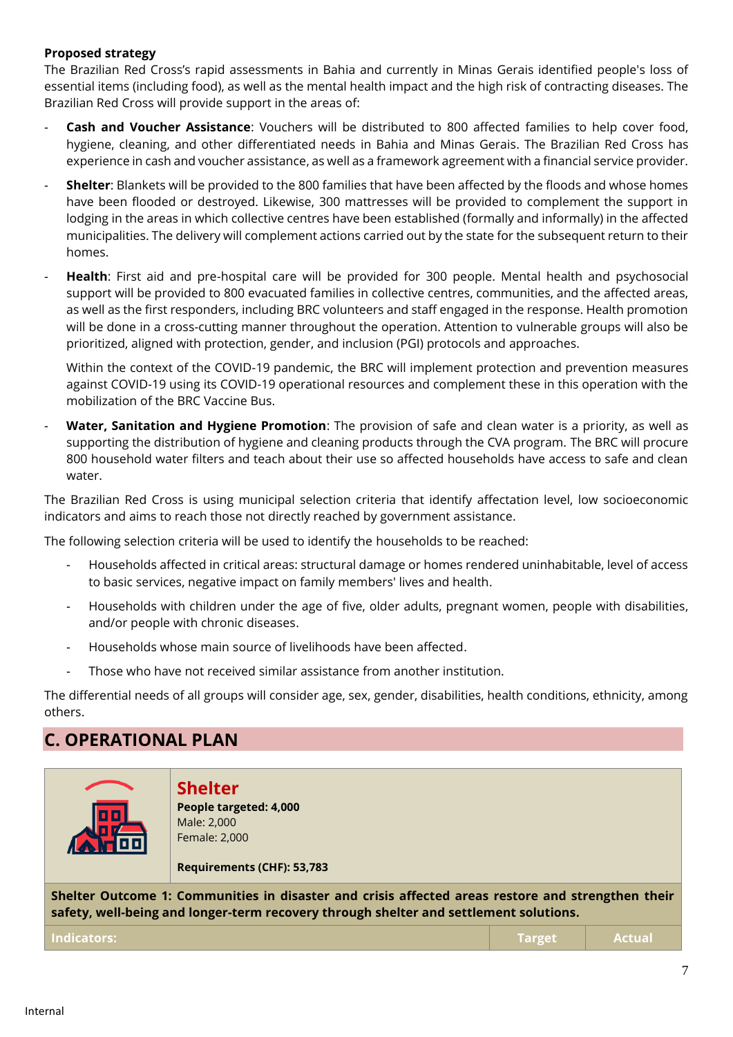#### **Proposed strategy**

The Brazilian Red Cross's rapid assessments in Bahia and currently in Minas Gerais identified people's loss of essential items (including food), as well as the mental health impact and the high risk of contracting diseases. The Brazilian Red Cross will provide support in the areas of:

- **Cash and Voucher Assistance**: Vouchers will be distributed to 800 affected families to help cover food, hygiene, cleaning, and other differentiated needs in Bahia and Minas Gerais. The Brazilian Red Cross has experience in cash and voucher assistance, as well as a framework agreement with a financial service provider.
- **Shelter**: Blankets will be provided to the 800 families that have been affected by the floods and whose homes have been flooded or destroyed. Likewise, 300 mattresses will be provided to complement the support in lodging in the areas in which collective centres have been established (formally and informally) in the affected municipalities. The delivery will complement actions carried out by the state for the subsequent return to their homes.
- **Health**: First aid and pre-hospital care will be provided for 300 people. Mental health and psychosocial support will be provided to 800 evacuated families in collective centres, communities, and the affected areas, as well as the first responders, including BRC volunteers and staff engaged in the response. Health promotion will be done in a cross-cutting manner throughout the operation. Attention to vulnerable groups will also be prioritized, aligned with protection, gender, and inclusion (PGI) protocols and approaches.

Within the context of the COVID-19 pandemic, the BRC will implement protection and prevention measures against COVID-19 using its COVID-19 operational resources and complement these in this operation with the mobilization of the BRC Vaccine Bus.

Water, Sanitation and Hygiene Promotion: The provision of safe and clean water is a priority, as well as supporting the distribution of hygiene and cleaning products through the CVA program. The BRC will procure 800 household water filters and teach about their use so affected households have access to safe and clean water.

The Brazilian Red Cross is using municipal selection criteria that identify affectation level, low socioeconomic indicators and aims to reach those not directly reached by government assistance.

The following selection criteria will be used to identify the households to be reached:

- Households affected in critical areas: structural damage or homes rendered uninhabitable, level of access to basic services, negative impact on family members' lives and health.
- Households with children under the age of five, older adults, pregnant women, people with disabilities, and/or people with chronic diseases.
- Households whose main source of livelihoods have been affected.
- Those who have not received similar assistance from another institution.

The differential needs of all groups will consider age, sex, gender, disabilities, health conditions, ethnicity, among others.

## **C. OPERATIONAL PLAN**

| oo                                                                                                                                                                                         | <b>Shelter</b><br>People targeted: 4,000<br>Male: 2,000<br>Female: 2,000<br>Requirements (CHF): 53,783 |               |               |
|--------------------------------------------------------------------------------------------------------------------------------------------------------------------------------------------|--------------------------------------------------------------------------------------------------------|---------------|---------------|
| Shelter Outcome 1: Communities in disaster and crisis affected areas restore and strengthen their<br>safety, well-being and longer-term recovery through shelter and settlement solutions. |                                                                                                        |               |               |
| Indicators:                                                                                                                                                                                |                                                                                                        | <b>Target</b> | <b>Actual</b> |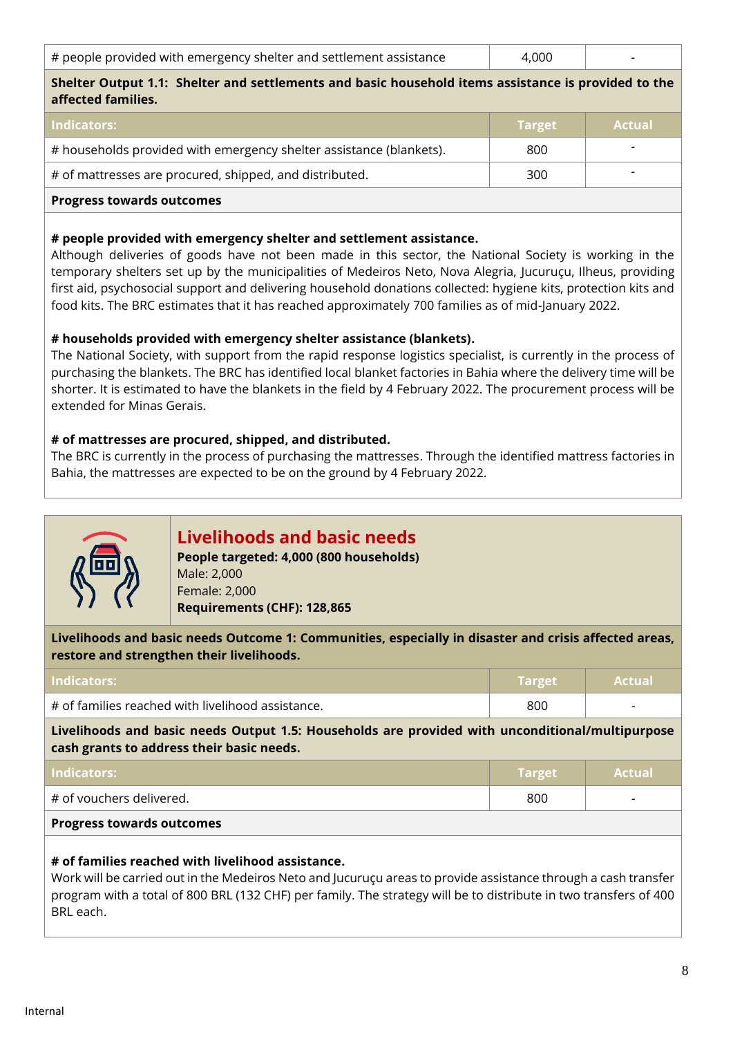| # people provided with emergency shelter and settlement assistance | 4.000 |  |
|--------------------------------------------------------------------|-------|--|
|--------------------------------------------------------------------|-------|--|

#### **Shelter Output 1.1: Shelter and settlements and basic household items assistance is provided to the affected families.**

| <b>Indicators:</b>                                                  | <b>Target</b> | <b>Actual</b> |
|---------------------------------------------------------------------|---------------|---------------|
| # households provided with emergency shelter assistance (blankets). | 800           |               |
| # of mattresses are procured, shipped, and distributed.             | 300           |               |
| <b>Progress towards outcomes</b>                                    |               |               |

#### **# people provided with emergency shelter and settlement assistance.**

Although deliveries of goods have not been made in this sector, the National Society is working in the temporary shelters set up by the municipalities of Medeiros Neto, Nova Alegria, Jucuruçu, Ilheus, providing first aid, psychosocial support and delivering household donations collected: hygiene kits, protection kits and food kits. The BRC estimates that it has reached approximately 700 families as of mid-January 2022.

#### **# households provided with emergency shelter assistance (blankets).**

The National Society, with support from the rapid response logistics specialist, is currently in the process of purchasing the blankets. The BRC has identified local blanket factories in Bahia where the delivery time will be shorter. It is estimated to have the blankets in the field by 4 February 2022. The procurement process will be extended for Minas Gerais.

#### **# of mattresses are procured, shipped, and distributed.**

The BRC is currently in the process of purchasing the mattresses. Through the identified mattress factories in Bahia, the mattresses are expected to be on the ground by 4 February 2022.



## **Livelihoods and basic needs**

**People targeted: 4,000 (800 households)** Male: 2,000 Female: 2,000 **Requirements (CHF): 128,865**

**Livelihoods and basic needs Outcome 1: Communities, especially in disaster and crisis affected areas, restore and strengthen their livelihoods.**

| Indicators:                                       | <b>Target</b> | <b>Actual</b>            |
|---------------------------------------------------|---------------|--------------------------|
| # of families reached with livelihood assistance. | 800           | $\overline{\phantom{0}}$ |

**Livelihoods and basic needs Output 1.5: Households are provided with unconditional/multipurpose cash grants to address their basic needs.**

| Indicators:                      | Target | <b>Actual</b>            |
|----------------------------------|--------|--------------------------|
| # of vouchers delivered.         | 800    | $\overline{\phantom{0}}$ |
| <b>Progress towards outcomes</b> |        |                          |

#### **# of families reached with livelihood assistance.**

Work will be carried out in the Medeiros Neto and Jucuruçu areas to provide assistance through a cash transfer program with a total of 800 BRL (132 CHF) per family. The strategy will be to distribute in two transfers of 400 BRL each.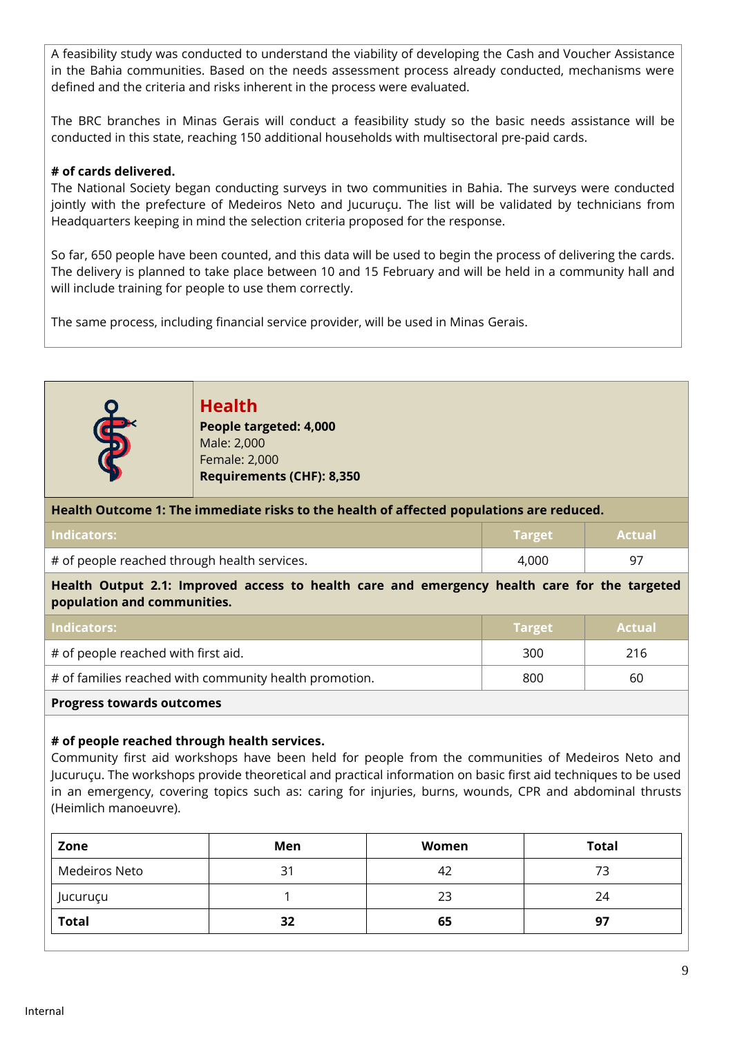A feasibility study was conducted to understand the viability of developing the Cash and Voucher Assistance in the Bahia communities. Based on the needs assessment process already conducted, mechanisms were defined and the criteria and risks inherent in the process were evaluated.

The BRC branches in Minas Gerais will conduct a feasibility study so the basic needs assistance will be conducted in this state, reaching 150 additional households with multisectoral pre-paid cards.

#### **# of cards delivered.**

The National Society began conducting surveys in two communities in Bahia. The surveys were conducted jointly with the prefecture of Medeiros Neto and Jucuruçu. The list will be validated by technicians from Headquarters keeping in mind the selection criteria proposed for the response.

So far, 650 people have been counted, and this data will be used to begin the process of delivering the cards. The delivery is planned to take place between 10 and 15 February and will be held in a community hall and will include training for people to use them correctly.

The same process, including financial service provider, will be used in Minas Gerais.



**Health People targeted: 4,000** Male: 2,000 Female: 2,000 **Requirements (CHF): 8,350**

#### **Health Outcome 1: The immediate risks to the health of affected populations are reduced.**

| <b>Indicators:</b>                           | <b>\Target\</b> | <b>Actual</b> |
|----------------------------------------------|-----------------|---------------|
| # of people reached through health services. | 4.000           |               |

**Health Output 2.1: Improved access to health care and emergency health care for the targeted population and communities.**

| <b>Indicators:</b>                                     | <b>Target</b> | <b>Actual</b> |
|--------------------------------------------------------|---------------|---------------|
| # of people reached with first aid.                    | 300           | 216           |
| # of families reached with community health promotion. | 800           | 60            |
| <b>Progress towards outcomes</b>                       |               |               |

#### **# of people reached through health services.**

Community first aid workshops have been held for people from the communities of Medeiros Neto and Jucuruçu. The workshops provide theoretical and practical information on basic first aid techniques to be used in an emergency, covering topics such as: caring for injuries, burns, wounds, CPR and abdominal thrusts (Heimlich manoeuvre).

| Zone          | Men | Women | <b>Total</b> |
|---------------|-----|-------|--------------|
| Medeiros Neto | 31  | 42    |              |
| Jucuruçu      |     | 23    | 24           |
| <b>Total</b>  | 32  | 65    | -97          |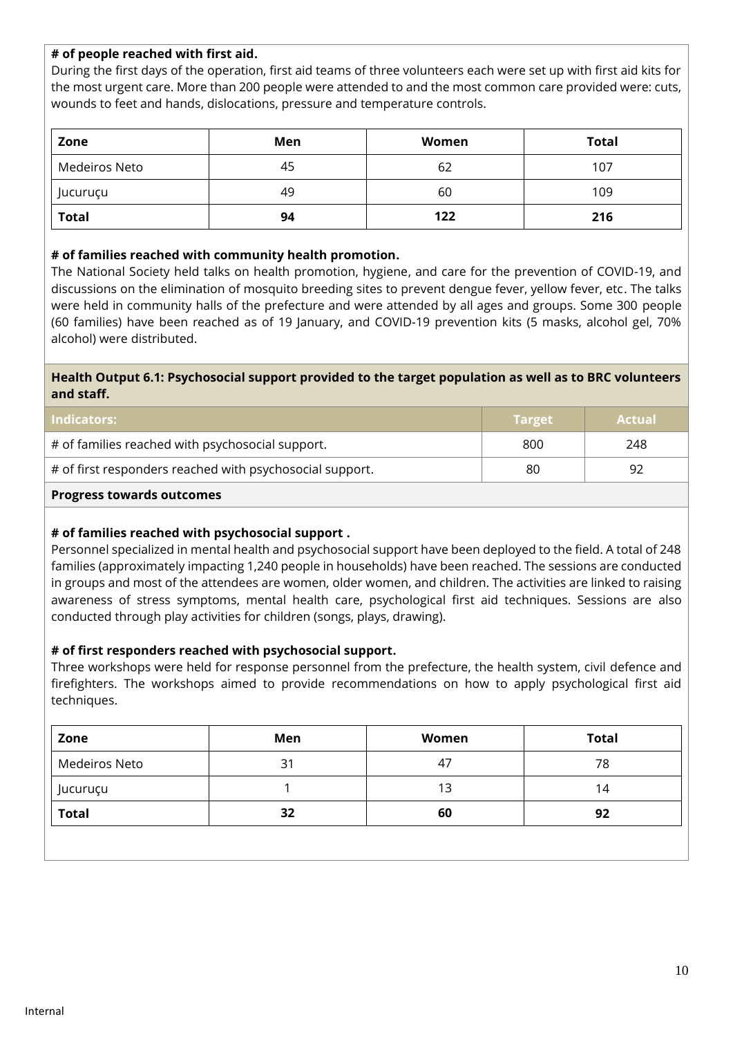#### **# of people reached with first aid.**

During the first days of the operation, first aid teams of three volunteers each were set up with first aid kits for the most urgent care. More than 200 people were attended to and the most common care provided were: cuts, wounds to feet and hands, dislocations, pressure and temperature controls.

| Zone          | Men | Women | Total |
|---------------|-----|-------|-------|
| Medeiros Neto | 45  | 62    | 107   |
| Jucuruçu      | 49  | 60    | 109   |
| <b>Total</b>  | 94  | 122   | 216   |

#### **# of families reached with community health promotion.**

The National Society held talks on health promotion, hygiene, and care for the prevention of COVID-19, and discussions on the elimination of mosquito breeding sites to prevent dengue fever, yellow fever, etc. The talks were held in community halls of the prefecture and were attended by all ages and groups. Some 300 people (60 families) have been reached as of 19 January, and COVID-19 prevention kits (5 masks, alcohol gel, 70% alcohol) were distributed.

#### **Health Output 6.1: Psychosocial support provided to the target population as well as to BRC volunteers and staff.**

| <b>Indicators:</b>                                       | <b>Target</b> | <b>Actual</b> |
|----------------------------------------------------------|---------------|---------------|
| # of families reached with psychosocial support.         | 800           | 248           |
| # of first responders reached with psychosocial support. | 80            | 92            |
| <b>Progress towards outcomes</b>                         |               |               |

#### **# of families reached with psychosocial support .**

Personnel specialized in mental health and psychosocial support have been deployed to the field. A total of 248 families (approximately impacting 1,240 people in households) have been reached. The sessions are conducted in groups and most of the attendees are women, older women, and children. The activities are linked to raising awareness of stress symptoms, mental health care, psychological first aid techniques. Sessions are also conducted through play activities for children (songs, plays, drawing).

#### **# of first responders reached with psychosocial support.**

Three workshops were held for response personnel from the prefecture, the health system, civil defence and firefighters. The workshops aimed to provide recommendations on how to apply psychological first aid techniques.

| Men | Women | <b>Total</b> |
|-----|-------|--------------|
| 31  | 47    | 78           |
|     | 13    | 14           |
| 32  | 60    | 92           |
|     |       |              |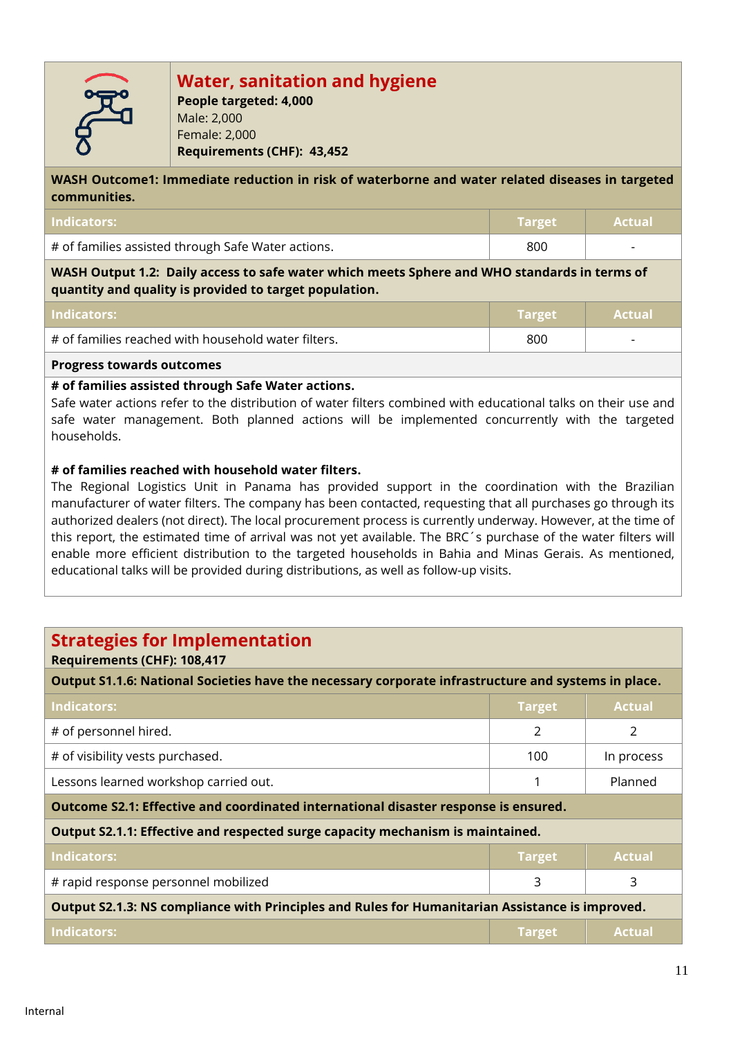

# **Water, sanitation and hygiene**

**People targeted: 4,000** Male: 2,000 Female: 2,000 **Requirements (CHF): 43,452**

**WASH Outcome1: Immediate reduction in risk of waterborne and water related diseases in targeted communities.**

| Indicators:                                        | ' Target   Actual |                          |
|----------------------------------------------------|-------------------|--------------------------|
| # of families assisted through Safe Water actions. | 800               | $\overline{\phantom{0}}$ |

**WASH Output 1.2: Daily access to safe water which meets Sphere and WHO standards in terms of quantity and quality is provided to target population.**

| Indicators:                                         | <b>\Target</b> \ | <b>Actual</b>            |
|-----------------------------------------------------|------------------|--------------------------|
| # of families reached with household water filters. | 800              | $\overline{\phantom{0}}$ |
| $\overline{\phantom{0}}$                            |                  |                          |

### **Progress towards outcomes**

#### **# of families assisted through Safe Water actions.**

Safe water actions refer to the distribution of water filters combined with educational talks on their use and safe water management. Both planned actions will be implemented concurrently with the targeted households.

#### **# of families reached with household water filters.**

The Regional Logistics Unit in Panama has provided support in the coordination with the Brazilian manufacturer of water filters. The company has been contacted, requesting that all purchases go through its authorized dealers (not direct). The local procurement process is currently underway. However, at the time of this report, the estimated time of arrival was not yet available. The BRC´s purchase of the water filters will enable more efficient distribution to the targeted households in Bahia and Minas Gerais. As mentioned, educational talks will be provided during distributions, as well as follow-up visits.

## **Strategies for Implementation**

#### **Requirements (CHF): 108,417**

**Output S1.1.6: National Societies have the necessary corporate infrastructure and systems in place.**

| Indicators:                                                                                     | <b>Target</b> | <b>Actual</b> |
|-------------------------------------------------------------------------------------------------|---------------|---------------|
| # of personnel hired.                                                                           | 2             | 2             |
| # of visibility vests purchased.                                                                | 100           | In process    |
| Lessons learned workshop carried out.                                                           |               | Planned       |
| Outcome S2.1: Effective and coordinated international disaster response is ensured.             |               |               |
| Output S2.1.1: Effective and respected surge capacity mechanism is maintained.                  |               |               |
| Indicators:                                                                                     | <b>Target</b> | <b>Actual</b> |
| # rapid response personnel mobilized                                                            | 3             | 3             |
| Output S2.1.3: NS compliance with Principles and Rules for Humanitarian Assistance is improved. |               |               |
| <b>Indicators:</b>                                                                              | <b>Target</b> | <b>Actual</b> |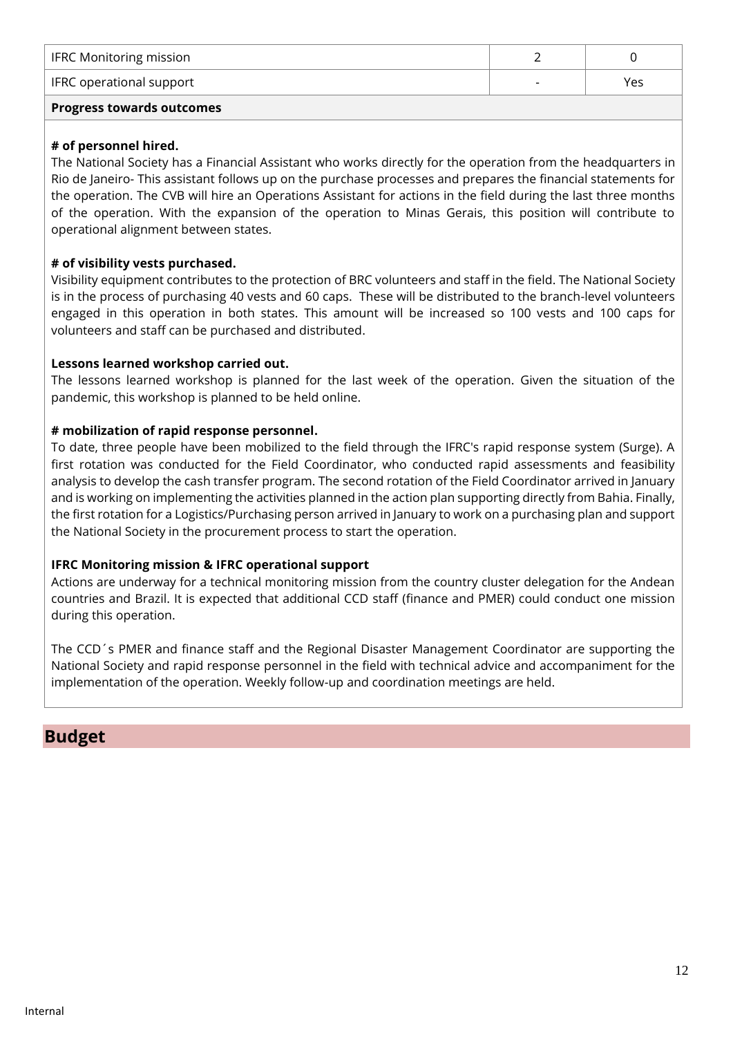| <b>Progress towards outcomes</b> |                          |     |  |
|----------------------------------|--------------------------|-----|--|
| <b>IFRC</b> operational support  | $\overline{\phantom{0}}$ | Yes |  |
| <b>IFRC Monitoring mission</b>   |                          |     |  |

#### **# of personnel hired.**

The National Society has a Financial Assistant who works directly for the operation from the headquarters in Rio de Janeiro- This assistant follows up on the purchase processes and prepares the financial statements for the operation. The CVB will hire an Operations Assistant for actions in the field during the last three months of the operation. With the expansion of the operation to Minas Gerais, this position will contribute to operational alignment between states.

#### **# of visibility vests purchased.**

Visibility equipment contributes to the protection of BRC volunteers and staff in the field. The National Society is in the process of purchasing 40 vests and 60 caps. These will be distributed to the branch-level volunteers engaged in this operation in both states. This amount will be increased so 100 vests and 100 caps for volunteers and staff can be purchased and distributed.

#### **Lessons learned workshop carried out.**

The lessons learned workshop is planned for the last week of the operation. Given the situation of the pandemic, this workshop is planned to be held online.

#### **# mobilization of rapid response personnel.**

To date, three people have been mobilized to the field through the IFRC's rapid response system (Surge). A first rotation was conducted for the Field Coordinator, who conducted rapid assessments and feasibility analysis to develop the cash transfer program. The second rotation of the Field Coordinator arrived in January and is working on implementing the activities planned in the action plan supporting directly from Bahia. Finally, the first rotation for a Logistics/Purchasing person arrived in January to work on a purchasing plan and support the National Society in the procurement process to start the operation.

#### **IFRC Monitoring mission & IFRC operational support**

Actions are underway for a technical monitoring mission from the country cluster delegation for the Andean countries and Brazil. It is expected that additional CCD staff (finance and PMER) could conduct one mission during this operation.

The CCD´s PMER and finance staff and the Regional Disaster Management Coordinator are supporting the National Society and rapid response personnel in the field with technical advice and accompaniment for the implementation of the operation. Weekly follow-up and coordination meetings are held.

### **Budget**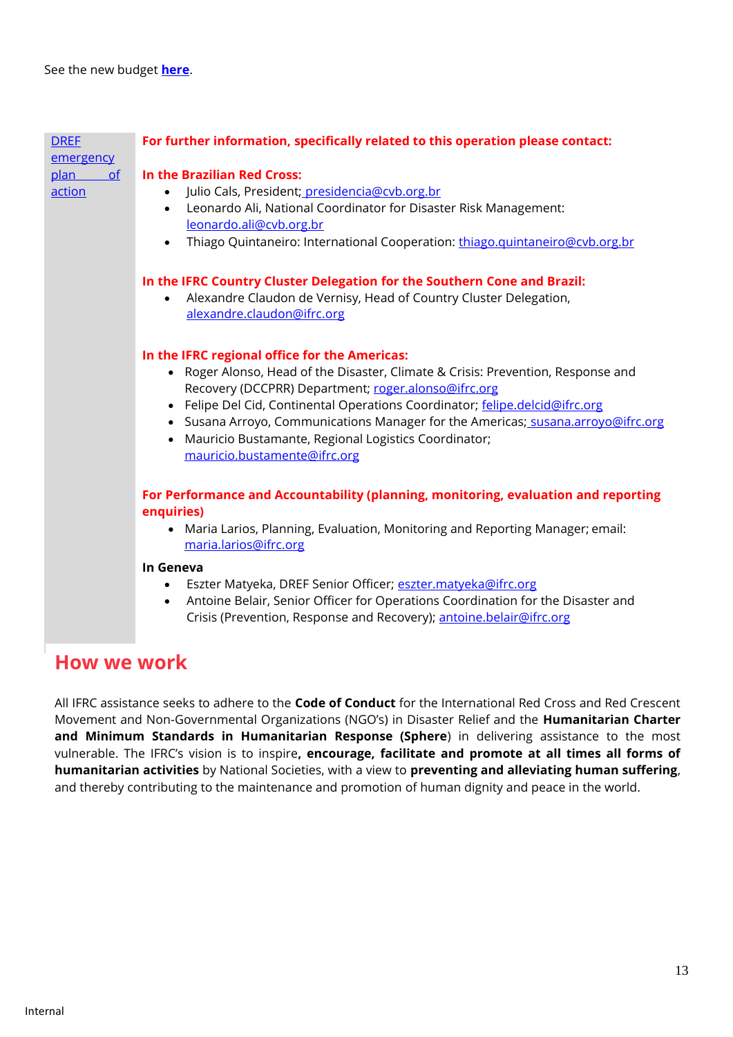<span id="page-12-0"></span>

| <b>DREF</b><br>emergency | For further information, specifically related to this operation please contact:                       |
|--------------------------|-------------------------------------------------------------------------------------------------------|
| plan<br>of               | In the Brazilian Red Cross:                                                                           |
| action                   | Julio Cals, President; presidencia@cvb.org.br                                                         |
|                          | Leonardo Ali, National Coordinator for Disaster Risk Management:<br>$\bullet$                         |
|                          | leonardo.ali@cvb.org.br                                                                               |
|                          | Thiago Quintaneiro: International Cooperation: thiago.quintaneiro@cvb.org.br                          |
|                          | In the IFRC Country Cluster Delegation for the Southern Cone and Brazil:                              |
|                          | Alexandre Claudon de Vernisy, Head of Country Cluster Delegation,                                     |
|                          | alexandre.claudon@ifrc.org                                                                            |
|                          | In the IFRC regional office for the Americas:                                                         |
|                          | • Roger Alonso, Head of the Disaster, Climate & Crisis: Prevention, Response and                      |
|                          | Recovery (DCCPRR) Department; roger.alonso@ifrc.org                                                   |
|                          | • Felipe Del Cid, Continental Operations Coordinator; felipe.delcid@ifrc.org                          |
|                          | • Susana Arroyo, Communications Manager for the Americas; susana.arroyo@ifrc.org                      |
|                          | Mauricio Bustamante, Regional Logistics Coordinator;                                                  |
|                          | mauricio.bustamente@ifrc.org                                                                          |
|                          | For Performance and Accountability (planning, monitoring, evaluation and reporting                    |
|                          | enquiries)                                                                                            |
|                          | Maria Larios, Planning, Evaluation, Monitoring and Reporting Manager; email:<br>maria.larios@ifrc.org |
|                          | In Geneva                                                                                             |
|                          | Eszter Matyeka, DREF Senior Officer; eszter.matyeka@ifrc.org                                          |
|                          | Antoine Belair, Senior Officer for Operations Coordination for the Disaster and<br>$\bullet$          |
|                          | Crisis (Prevention, Response and Recovery); antoine.belair@ifrc.org                                   |

## **How we work**

All IFRC assistance seeks to adhere to the **Code of Conduct** for the International Red Cross and Red Crescent Movement and Non-Governmental Organizations (NGO's) in Disaster Relief and the **Humanitarian Charter and Minimum Standards in Humanitarian Response (Sphere**) in delivering assistance to the most vulnerable. The IFRC's vision is to inspire**, encourage, facilitate and promote at all times all forms of humanitarian activities** by National Societies, with a view to **preventing and alleviating human suffering**, and thereby contributing to the maintenance and promotion of human dignity and peace in the world.